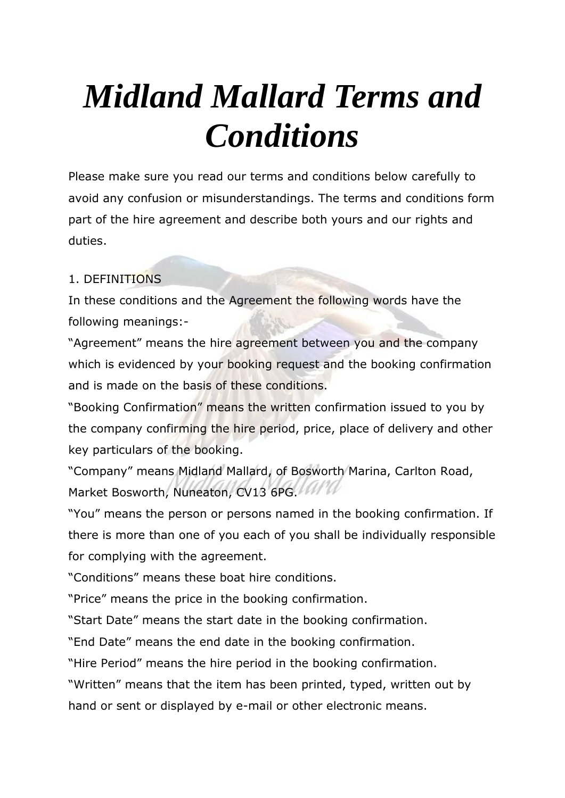# *Midland Mallard Terms and Conditions*

Please make sure you read our terms and conditions below carefully to avoid any confusion or misunderstandings. The terms and conditions form part of the hire agreement and describe both yours and our rights and duties.

# 1. DEFINITIONS

In these conditions and the Agreement the following words have the following meanings:-

"Agreement" means the hire agreement between you and the company which is evidenced by your booking request and the booking confirmation and is made on the basis of these conditions.

"Booking Confirmation" means the written confirmation issued to you by the company confirming the hire period, price, place of delivery and other key particulars of the booking.

"Company" means Midland Mallard, of Bosworth Marina, Carlton Road, Market Bosworth, Nuneaton, CV13 6PG.

"You" means the person or persons named in the booking confirmation. If there is more than one of you each of you shall be individually responsible for complying with the agreement.

"Conditions" means these boat hire conditions.

"Price" means the price in the booking confirmation.

"Start Date" means the start date in the booking confirmation.

"End Date" means the end date in the booking confirmation.

"Hire Period" means the hire period in the booking confirmation.

"Written" means that the item has been printed, typed, written out by

hand or sent or displayed by e-mail or other electronic means.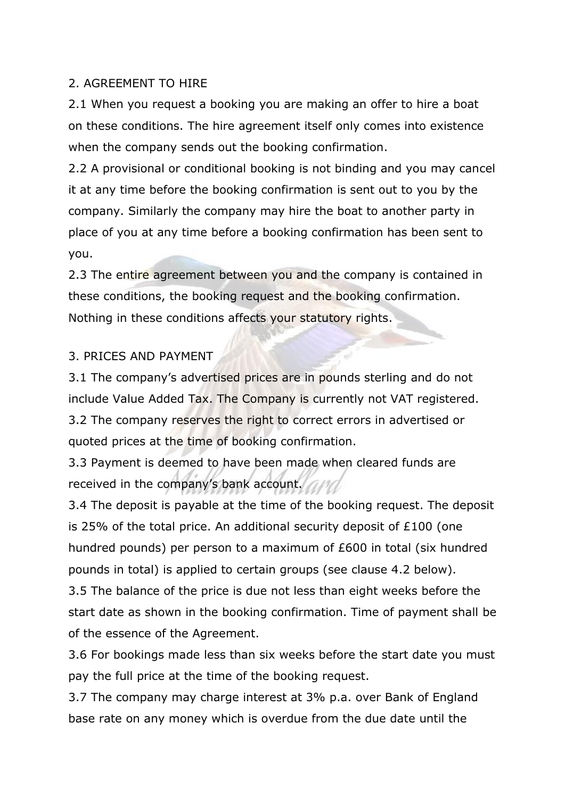#### 2. AGREEMENT TO HIRE

2.1 When you request a booking you are making an offer to hire a boat on these conditions. The hire agreement itself only comes into existence when the company sends out the booking confirmation.

2.2 A provisional or conditional booking is not binding and you may cancel it at any time before the booking confirmation is sent out to you by the company. Similarly the company may hire the boat to another party in place of you at any time before a booking confirmation has been sent to you.

2.3 The entire agreement between you and the company is contained in these conditions, the booking request and the booking confirmation. Nothing in these conditions affects your statutory rights.

#### 3. PRICES AND PAYMENT

3.1 The company's advertised prices are in pounds sterling and do not include Value Added Tax. The Company is currently not VAT registered. 3.2 The company reserves the right to correct errors in advertised or quoted prices at the time of booking confirmation.

3.3 Payment is deemed to have been made when cleared funds are received in the company's bank account.

3.4 The deposit is payable at the time of the booking request. The deposit is 25% of the total price. An additional security deposit of £100 (one hundred pounds) per person to a maximum of £600 in total (six hundred pounds in total) is applied to certain groups (see clause 4.2 below). 3.5 The balance of the price is due not less than eight weeks before the start date as shown in the booking confirmation. Time of payment shall be of the essence of the Agreement.

3.6 For bookings made less than six weeks before the start date you must pay the full price at the time of the booking request.

3.7 The company may charge interest at 3% p.a. over Bank of England base rate on any money which is overdue from the due date until the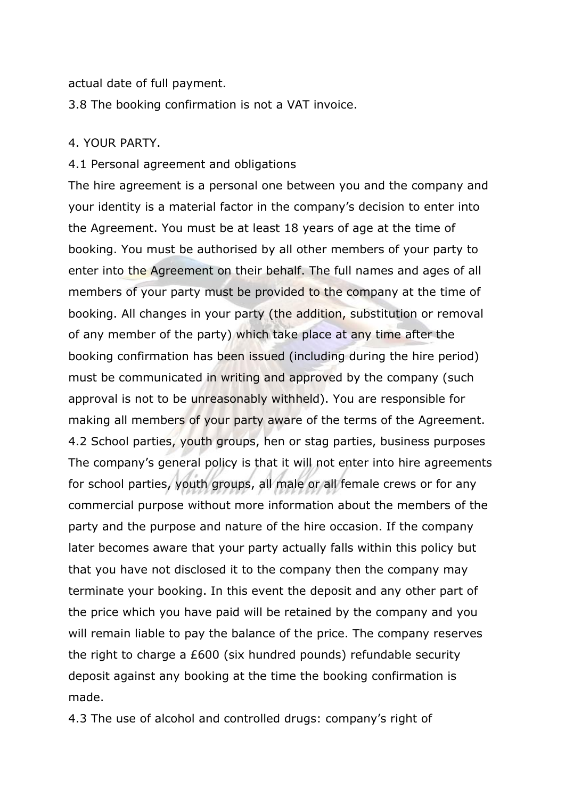actual date of full payment.

3.8 The booking confirmation is not a VAT invoice.

#### 4. YOUR PARTY.

#### 4.1 Personal agreement and obligations

The hire agreement is a personal one between you and the company and your identity is a material factor in the company's decision to enter into the Agreement. You must be at least 18 years of age at the time of booking. You must be authorised by all other members of your party to enter into the Agreement on their behalf. The full names and ages of all members of your party must be provided to the company at the time of booking. All changes in your party (the addition, substitution or removal of any member of the party) which take place at any time after the booking confirmation has been issued (including during the hire period) must be communicated in writing and approved by the company (such approval is not to be unreasonably withheld). You are responsible for making all members of your party aware of the terms of the Agreement. 4.2 School parties, youth groups, hen or stag parties, business purposes The company's general policy is that it will not enter into hire agreements for school parties, youth groups, all male or all female crews or for any commercial purpose without more information about the members of the party and the purpose and nature of the hire occasion. If the company later becomes aware that your party actually falls within this policy but that you have not disclosed it to the company then the company may terminate your booking. In this event the deposit and any other part of the price which you have paid will be retained by the company and you will remain liable to pay the balance of the price. The company reserves the right to charge a £600 (six hundred pounds) refundable security deposit against any booking at the time the booking confirmation is made.

4.3 The use of alcohol and controlled drugs: company's right of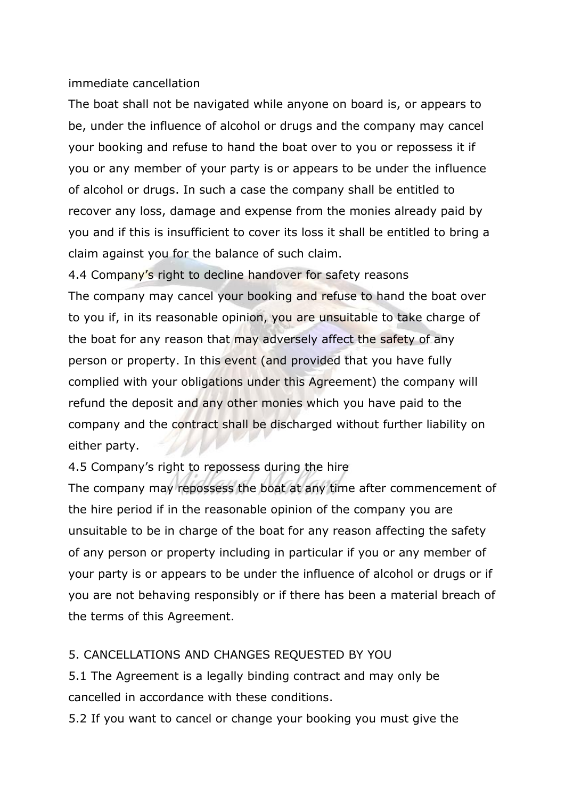#### immediate cancellation

The boat shall not be navigated while anyone on board is, or appears to be, under the influence of alcohol or drugs and the company may cancel your booking and refuse to hand the boat over to you or repossess it if you or any member of your party is or appears to be under the influence of alcohol or drugs. In such a case the company shall be entitled to recover any loss, damage and expense from the monies already paid by you and if this is insufficient to cover its loss it shall be entitled to bring a claim against you for the balance of such claim.

4.4 Company's right to decline handover for safety reasons The company may cancel your booking and refuse to hand the boat over to you if, in its reasonable opinion, you are unsuitable to take charge of the boat for any reason that may adversely affect the safety of any person or property. In this event (and provided that you have fully complied with your obligations under this Agreement) the company will refund the deposit and any other monies which you have paid to the company and the contract shall be discharged without further liability on either party.

4.5 Company's right to repossess during the hire

The company may repossess the boat at any time after commencement of the hire period if in the reasonable opinion of the company you are unsuitable to be in charge of the boat for any reason affecting the safety of any person or property including in particular if you or any member of your party is or appears to be under the influence of alcohol or drugs or if you are not behaving responsibly or if there has been a material breach of the terms of this Agreement.

# 5. CANCELLATIONS AND CHANGES REQUESTED BY YOU

5.1 The Agreement is a legally binding contract and may only be cancelled in accordance with these conditions.

5.2 If you want to cancel or change your booking you must give the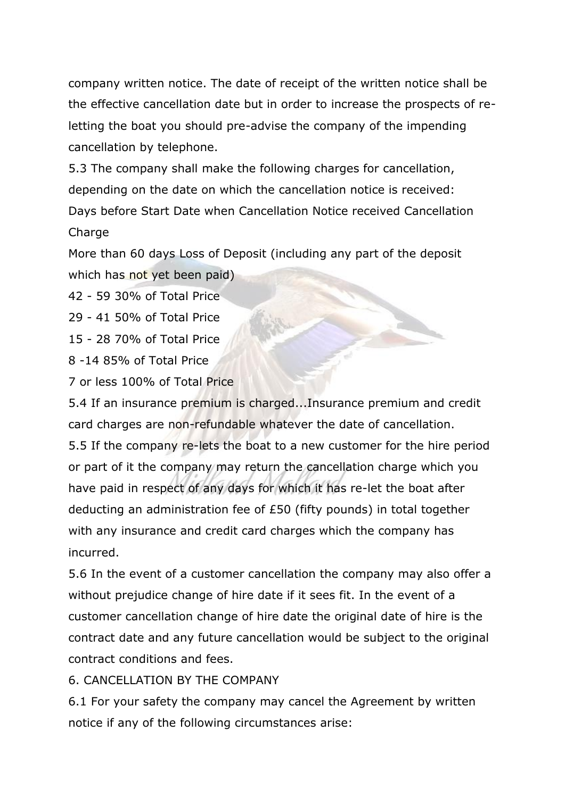company written notice. The date of receipt of the written notice shall be the effective cancellation date but in order to increase the prospects of reletting the boat you should pre-advise the company of the impending cancellation by telephone.

5.3 The company shall make the following charges for cancellation, depending on the date on which the cancellation notice is received: Days before Start Date when Cancellation Notice received Cancellation Charge

More than 60 days Loss of Deposit (including any part of the deposit which has not yet been paid)

42 - 59 30% of Total Price

29 - 41 50% of Total Price

15 - 28 70% of Total Price

8 -14 85% of Total Price

7 or less 100% of Total Price

5.4 If an insurance premium is charged...Insurance premium and credit card charges are non-refundable whatever the date of cancellation. 5.5 If the company re-lets the boat to a new customer for the hire period or part of it the company may return the cancellation charge which you have paid in respect of any days for which it has re-let the boat after deducting an administration fee of £50 (fifty pounds) in total together with any insurance and credit card charges which the company has incurred.

5.6 In the event of a customer cancellation the company may also offer a without prejudice change of hire date if it sees fit. In the event of a customer cancellation change of hire date the original date of hire is the contract date and any future cancellation would be subject to the original contract conditions and fees.

# 6. CANCELLATION BY THE COMPANY

6.1 For your safety the company may cancel the Agreement by written notice if any of the following circumstances arise: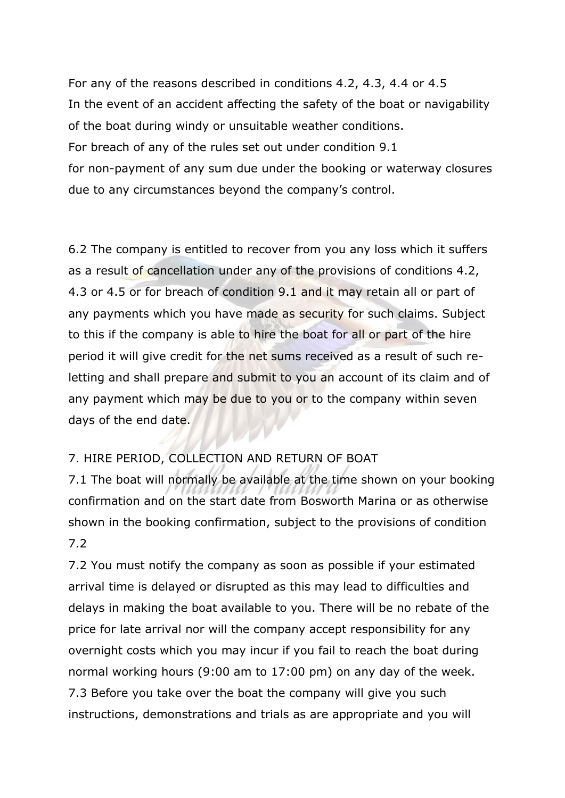For any of the reasons described in conditions 4.2, 4.3, 4.4 or 4.5 In the event of an accident affecting the safety of the boat or navigability of the boat during windy or unsuitable weather conditions. For breach of any of the rules set out under condition 9.1 for non-payment of any sum due under the booking or waterway closures due to any circumstances beyond the company's control.

6.2 The company is entitled to recover from you any loss which it suffers as a result of cancellation under any of the provisions of conditions 4.2, 4.3 or 4.5 or for breach of condition 9.1 and it may retain all or part of any payments which you have made as security for such claims. Subject to this if the company is able to hire the boat for all or part of the hire period it will give credit for the net sums received as a result of such reletting and shall prepare and submit to you an account of its claim and of any payment which may be due to you or to the company within seven days of the end date.

#### 7. HIRE PERIOD, COLLECTION AND RETURN OF BOAT

7.1 The boat will normally be available at the time shown on your booking confirmation and on the start date from Bosworth Marina or as otherwise shown in the booking confirmation, subject to the provisions of condition 7.2

7.2 You must notify the company as soon as possible if your estimated arrival time is delayed or disrupted as this may lead to difficulties and delays in making the boat available to you. There will be no rebate of the price for late arrival nor will the company accept responsibility for any overnight costs which you may incur if you fail to reach the boat during normal working hours (9:00 am to 17:00 pm) on any day of the week. 7.3 Before you take over the boat the company will give you such instructions, demonstrations and trials as are appropriate and you will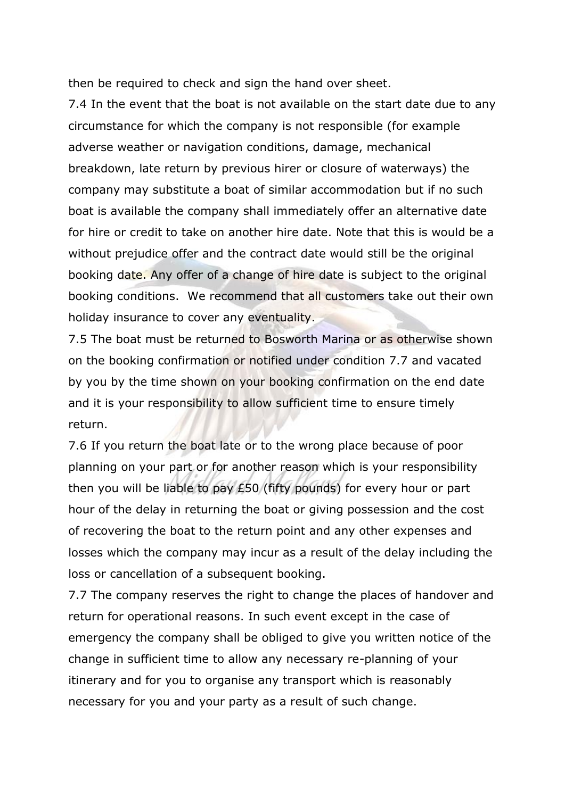then be required to check and sign the hand over sheet.

7.4 In the event that the boat is not available on the start date due to any circumstance for which the company is not responsible (for example adverse weather or navigation conditions, damage, mechanical breakdown, late return by previous hirer or closure of waterways) the company may substitute a boat of similar accommodation but if no such boat is available the company shall immediately offer an alternative date for hire or credit to take on another hire date. Note that this is would be a without prejudice offer and the contract date would still be the original booking date. Any offer of a change of hire date is subject to the original booking conditions. We recommend that all customers take out their own holiday insurance to cover any eventuality.

7.5 The boat must be returned to Bosworth Marina or as otherwise shown on the booking confirmation or notified under condition 7.7 and vacated by you by the time shown on your booking confirmation on the end date and it is your responsibility to allow sufficient time to ensure timely return.

7.6 If you return the boat late or to the wrong place because of poor planning on your part or for another reason which is your responsibility then you will be liable to pay £50 (fifty pounds) for every hour or part hour of the delay in returning the boat or giving possession and the cost of recovering the boat to the return point and any other expenses and losses which the company may incur as a result of the delay including the loss or cancellation of a subsequent booking.

7.7 The company reserves the right to change the places of handover and return for operational reasons. In such event except in the case of emergency the company shall be obliged to give you written notice of the change in sufficient time to allow any necessary re-planning of your itinerary and for you to organise any transport which is reasonably necessary for you and your party as a result of such change.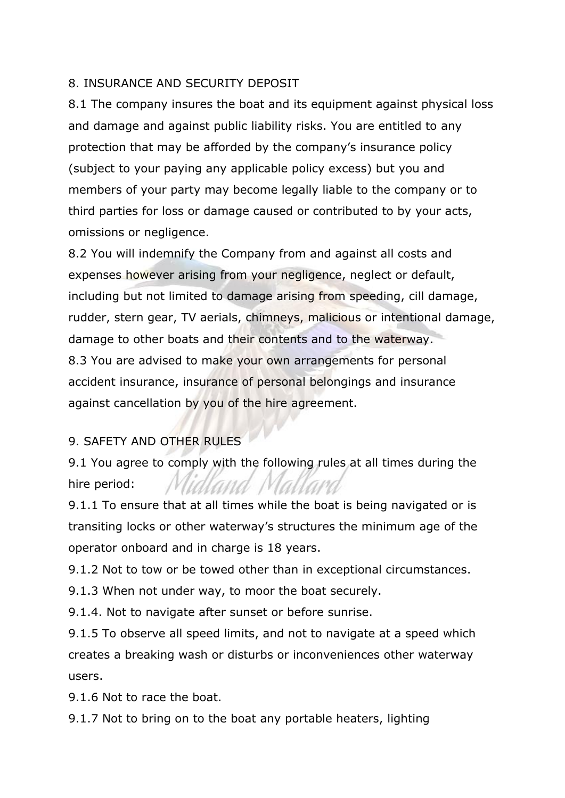#### 8. INSURANCE AND SECURITY DEPOSIT

8.1 The company insures the boat and its equipment against physical loss and damage and against public liability risks. You are entitled to any protection that may be afforded by the company's insurance policy (subject to your paying any applicable policy excess) but you and members of your party may become legally liable to the company or to third parties for loss or damage caused or contributed to by your acts, omissions or negligence.

8.2 You will indemnify the Company from and against all costs and expenses however arising from your negligence, neglect or default, including but not limited to damage arising from speeding, cill damage, rudder, stern gear, TV aerials, chimneys, malicious or intentional damage, damage to other boats and their contents and to the waterway. 8.3 You are advised to make your own arrangements for personal accident insurance, insurance of personal belongings and insurance against cancellation by you of the hire agreement.

# 9. SAFETY AND OTHER RULES

9.1 You agree to comply with the following rules at all times during the hire period:

9.1.1 To ensure that at all times while the boat is being navigated or is transiting locks or other waterway's structures the minimum age of the operator onboard and in charge is 18 years.

9.1.2 Not to tow or be towed other than in exceptional circumstances.

9.1.3 When not under way, to moor the boat securely.

9.1.4. Not to navigate after sunset or before sunrise.

9.1.5 To observe all speed limits, and not to navigate at a speed which creates a breaking wash or disturbs or inconveniences other waterway users.

9.1.6 Not to race the boat.

9.1.7 Not to bring on to the boat any portable heaters, lighting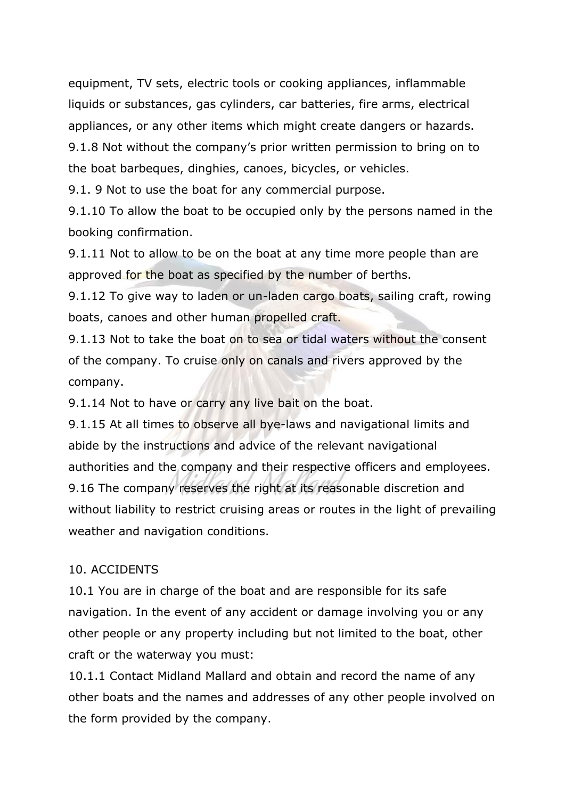equipment, TV sets, electric tools or cooking appliances, inflammable liquids or substances, gas cylinders, car batteries, fire arms, electrical appliances, or any other items which might create dangers or hazards. 9.1.8 Not without the company's prior written permission to bring on to the boat barbeques, dinghies, canoes, bicycles, or vehicles.

9.1. 9 Not to use the boat for any commercial purpose.

9.1.10 To allow the boat to be occupied only by the persons named in the booking confirmation.

9.1.11 Not to allow to be on the boat at any time more people than are approved for the boat as specified by the number of berths.

9.1.12 To give way to laden or un-laden cargo boats, sailing craft, rowing boats, canoes and other human propelled craft.

9.1.13 Not to take the boat on to sea or tidal waters without the consent of the company. To cruise only on canals and rivers approved by the company.

9.1.14 Not to have or carry any live bait on the boat.

9.1.15 At all times to observe all bye-laws and navigational limits and abide by the instructions and advice of the relevant navigational authorities and the company and their respective officers and employees. 9.16 The company reserves the right at its reasonable discretion and without liability to restrict cruising areas or routes in the light of prevailing weather and navigation conditions.

# 10. ACCIDENTS

10.1 You are in charge of the boat and are responsible for its safe navigation. In the event of any accident or damage involving you or any other people or any property including but not limited to the boat, other craft or the waterway you must:

10.1.1 Contact Midland Mallard and obtain and record the name of any other boats and the names and addresses of any other people involved on the form provided by the company.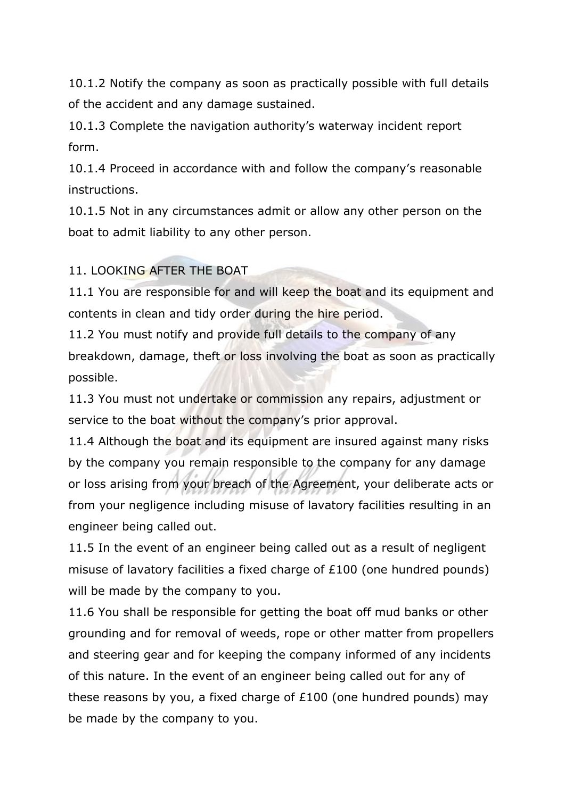10.1.2 Notify the company as soon as practically possible with full details of the accident and any damage sustained.

10.1.3 Complete the navigation authority's waterway incident report form.

10.1.4 Proceed in accordance with and follow the company's reasonable instructions.

10.1.5 Not in any circumstances admit or allow any other person on the boat to admit liability to any other person.

#### 11. LOOKING AFTER THE BOAT

11.1 You are responsible for and will keep the boat and its equipment and contents in clean and tidy order during the hire period.

11.2 You must notify and provide full details to the company of any breakdown, damage, theft or loss involving the boat as soon as practically possible.

11.3 You must not undertake or commission any repairs, adjustment or service to the boat without the company's prior approval.

11.4 Although the boat and its equipment are insured against many risks by the company you remain responsible to the company for any damage or loss arising from your breach of the Agreement, your deliberate acts or from your negligence including misuse of lavatory facilities resulting in an engineer being called out.

11.5 In the event of an engineer being called out as a result of negligent misuse of lavatory facilities a fixed charge of £100 (one hundred pounds) will be made by the company to you.

11.6 You shall be responsible for getting the boat off mud banks or other grounding and for removal of weeds, rope or other matter from propellers and steering gear and for keeping the company informed of any incidents of this nature. In the event of an engineer being called out for any of these reasons by you, a fixed charge of £100 (one hundred pounds) may be made by the company to you.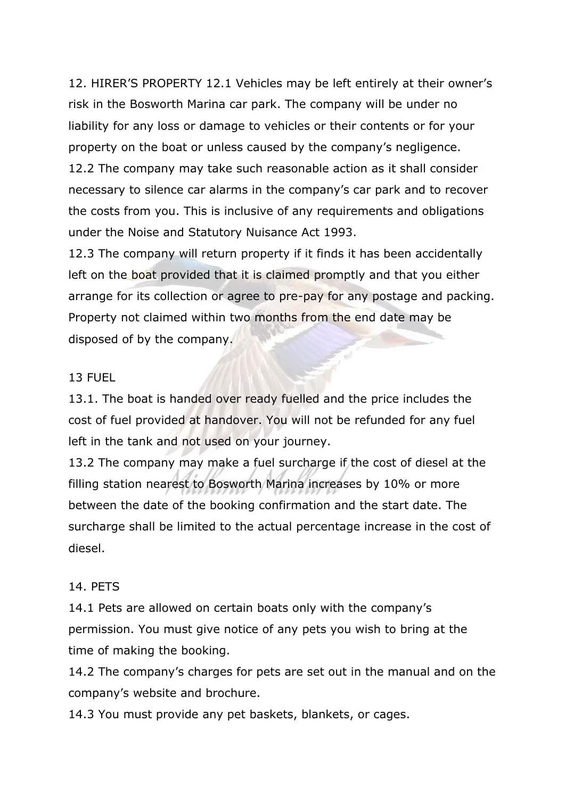12. HIRER'S PROPERTY 12.1 Vehicles may be left entirely at their owner's risk in the Bosworth Marina car park. The company will be under no liability for any loss or damage to vehicles or their contents or for your property on the boat or unless caused by the company's negligence. 12.2 The company may take such reasonable action as it shall consider necessary to silence car alarms in the company's car park and to recover the costs from you. This is inclusive of any requirements and obligations under the Noise and Statutory Nuisance Act 1993.

12.3 The company will return property if it finds it has been accidentally left on the boat provided that it is claimed promptly and that you either arrange for its collection or agree to pre-pay for any postage and packing. Property not claimed within two months from the end date may be disposed of by the company.

#### 13 FUEL

13.1. The boat is handed over ready fuelled and the price includes the cost of fuel provided at handover. You will not be refunded for any fuel left in the tank and not used on your journey.

13.2 The company may make a fuel surcharge if the cost of diesel at the filling station nearest to Bosworth Marina increases by 10% or more between the date of the booking confirmation and the start date. The surcharge shall be limited to the actual percentage increase in the cost of diesel.

#### 14. PETS

14.1 Pets are allowed on certain boats only with the company's permission. You must give notice of any pets you wish to bring at the time of making the booking.

14.2 The company's charges for pets are set out in the manual and on the company's website and brochure.

14.3 You must provide any pet baskets, blankets, or cages.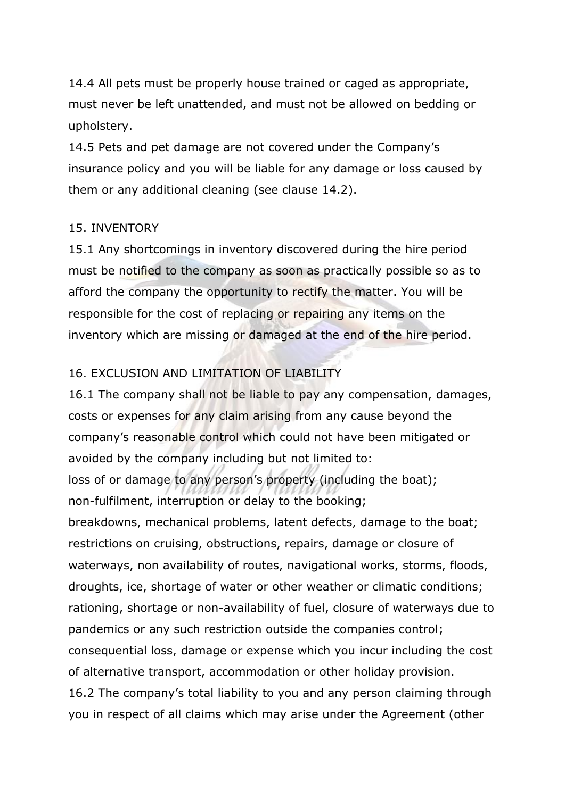14.4 All pets must be properly house trained or caged as appropriate, must never be left unattended, and must not be allowed on bedding or upholstery.

14.5 Pets and pet damage are not covered under the Company's insurance policy and you will be liable for any damage or loss caused by them or any additional cleaning (see clause 14.2).

#### 15. INVENTORY

15.1 Any shortcomings in inventory discovered during the hire period must be notified to the company as soon as practically possible so as to afford the company the opportunity to rectify the matter. You will be responsible for the cost of replacing or repairing any items on the inventory which are missing or damaged at the end of the hire period.

#### 16. EXCLUSION AND LIMITATION OF LIABILITY

16.1 The company shall not be liable to pay any compensation, damages, costs or expenses for any claim arising from any cause beyond the company's reasonable control which could not have been mitigated or avoided by the company including but not limited to: loss of or damage to any person's property (including the boat); non-fulfilment, interruption or delay to the booking; breakdowns, mechanical problems, latent defects, damage to the boat; restrictions on cruising, obstructions, repairs, damage or closure of waterways, non availability of routes, navigational works, storms, floods, droughts, ice, shortage of water or other weather or climatic conditions; rationing, shortage or non-availability of fuel, closure of waterways due to pandemics or any such restriction outside the companies control; consequential loss, damage or expense which you incur including the cost of alternative transport, accommodation or other holiday provision. 16.2 The company's total liability to you and any person claiming through you in respect of all claims which may arise under the Agreement (other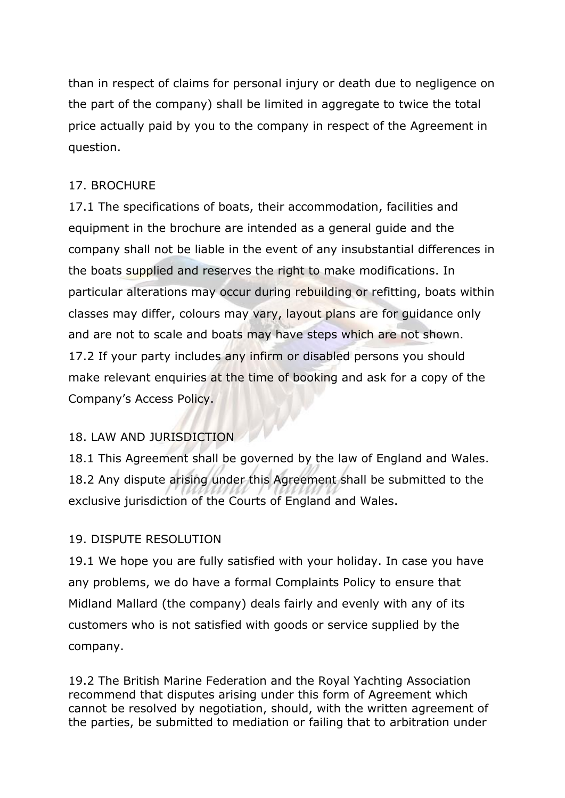than in respect of claims for personal injury or death due to negligence on the part of the company) shall be limited in aggregate to twice the total price actually paid by you to the company in respect of the Agreement in question.

# 17. BROCHURE

17.1 The specifications of boats, their accommodation, facilities and equipment in the brochure are intended as a general guide and the company shall not be liable in the event of any insubstantial differences in the boats supplied and reserves the right to make modifications. In particular alterations may occur during rebuilding or refitting, boats within classes may differ, colours may vary, layout plans are for guidance only and are not to scale and boats may have steps which are not shown. 17.2 If your party includes any infirm or disabled persons you should make relevant enquiries at the time of booking and ask for a copy of the Company's Access Policy.

# 18. LAW AND JURISDICTION

18.1 This Agreement shall be governed by the law of England and Wales. 18.2 Any dispute arising under this Agreement shall be submitted to the exclusive jurisdiction of the Courts of England and Wales.

# 19. DISPUTE RESOLUTION

19.1 We hope you are fully satisfied with your holiday. In case you have any problems, we do have a formal Complaints Policy to ensure that Midland Mallard (the company) deals fairly and evenly with any of its customers who is not satisfied with goods or service supplied by the company.

19.2 The British Marine Federation and the Royal Yachting Association recommend that disputes arising under this form of Agreement which cannot be resolved by negotiation, should, with the written agreement of the parties, be submitted to mediation or failing that to arbitration under